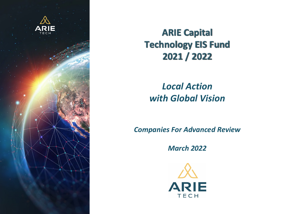

## **ARIE Capital Technology EIS Fund** 2021 / 2022

## *Local Action with Global Vision*

*Companies For Advanced Review*

*March 2022*

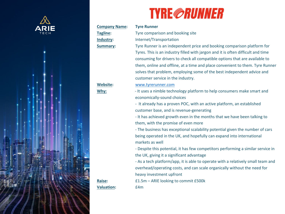

# **Company Name: Tyre Runner**

**Valuation:** £4m

## **TYRI**

**Tagline:** Tyre comparison and booking sites and booking sites and booking sites and booking sites and booking sites and booking sites and booking sites and booking sites are sites and booking sites and booking sites and b **Industry:** Internet/Transportation **Summary:** Tyre Runner is an in Tyres. This is an ind consuming for drive them, online and of solves that problem customer service in Website: www.tyrerunner.com **Why:**  $\bullet$  - It uses a nimble te economically-sound - It already has a pr customer base, and - It has achieved growth them, with the prom - The business has  $\epsilon$ being operated in the markets as well - Despite this poten the UK, giving it a si - As a tech platform overhead/operating heavy investment u **Raise:**  $£1.5m - ARIE$  looking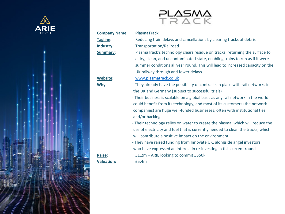

## **Company Name: PlasmaTrack Tagline:** Reducing train dela **Industry:** Transportation/Rail **Summary:** PlasmaTrack's tech

a dry, clean, and un summer conditions UK railway through **Website:** www.plasmatrack.co

╤┖

- **Why:**  $\blacksquare$  They already have the possibility of contracts in place with rail networks in place  $\blacksquare$ the UK and Germany
	- Their business is scalable 1 could benefit from it companies) are huge and/or backing
	- Their technology re use of electricity and will contribute a pos
- They have raised fur who have expressed **Raise:**  $£1.2m - ARIE$  looking

**Valuation:** £5.4m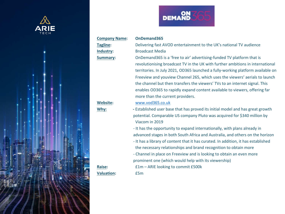



**Company Name: OnDemand365**

**Valuation:** £5m

Tagline: Delivering fast AVO **Industry:** Broadcast Media **Summary:** OnDemand365 is a revolutionising broa territories. In July 2 Freeview and youvi the channel but the enables OD365 to r [more than the curre](http://www.vod365.co.uk/) **Website:** www.vod365.co.uk

- **Why: -** Established user base that has provided its initial model and has provided and has great growth and has great growth and has great growth and has great growth and has great growth and has great growth and has gr potential. Comparab Viacom in 2019
	- It has the opportun
	- advanced stages in b
	- It has a library of co the necessary relations
- Channel in place or prominent one (white **Raise:**  $£1m - ARIE looking$ 
	-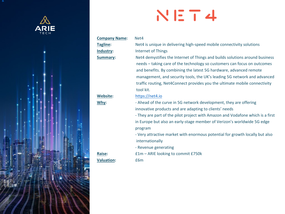

**g**



## **Company Name:** Net4 **Tagline Industry Summary**

**Website Why :**

**Raise Valuation**

**Net4** is unique in de **:** Internet of Things **Net4 demystifies the Internet of The Internet Solutions Internet and Internative Structures** needs - taking care and benefits. By co management, and traffic routing, Net [tool kit.](http://www.net4.io/) 

## **:** https://net4.io

- Ahead of the curv innovative products - They are part of the in Europe but also a program

- Very attractive ma internationally

- Revenue generatii

: **E1m – ARIE looking :** £6m